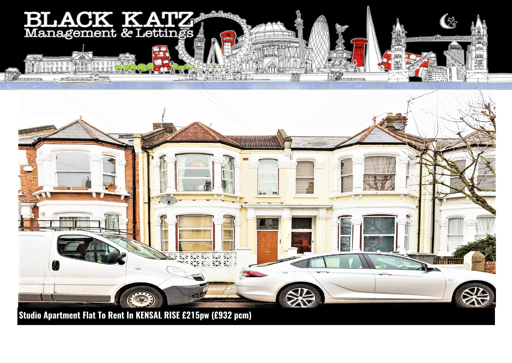



**Studio Apartment Flat To Rent In KENSAL RISE £215pw (£932 pcm)**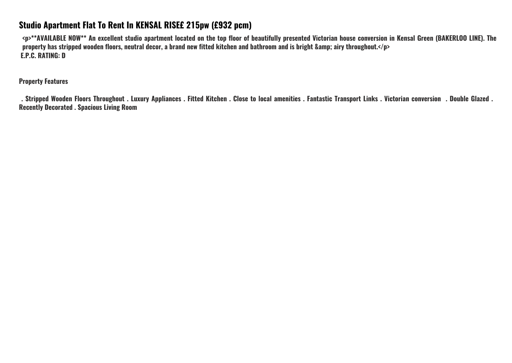## **Studio Apartment Flat To Rent In KENSAL RISE£ 215pw (£932 pcm)**

**<p>\*\*AVAILABLE NOW\*\* An excellent studio apartment located on the top floor of beautifully presented Victorian house conversion in Kensal Green (BAKERLOO LINE). The property has stripped wooden floors, neutral decor, a brand new fitted kitchen and bathroom and is bright &amp; airy throughout.</p> E.P.C. RATING: D**

**Property Features**

 **. Stripped Wooden Floors Throughout . Luxury Appliances . Fitted Kitchen . Close to local amenities . Fantastic Transport Links . Victorian conversion . Double Glazed . Recently Decorated . Spacious Living Room**